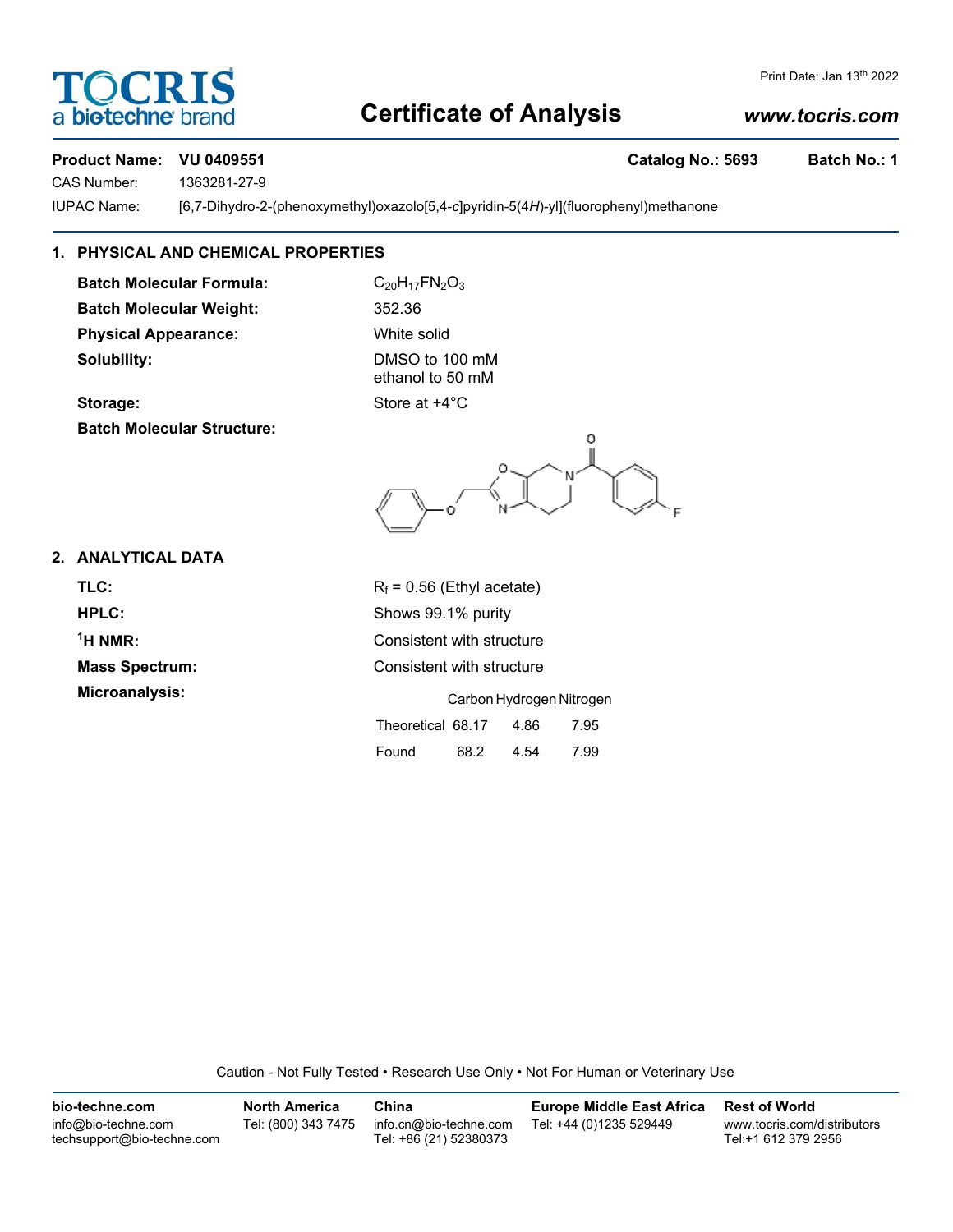# **TOCRIS** a **biotechne** br

### Print Date: Jan 13<sup>th</sup> 2022

# **Certificate of Analysis**

# *www.tocris.com*

# **Product Name: VU 0409551 Catalog No.: 5693 Batch No.: 1**

CAS Number: 1363281-27-9

IUPAC Name: [6,7-Dihydro-2-(phenoxymethyl)oxazolo[5,4-*c*]pyridin-5(4*H*)-yl](fluorophenyl)methanone

# **1. PHYSICAL AND CHEMICAL PROPERTIES**

**Batch Molecular Formula:** C<sub>20</sub>H<sub>17</sub>FN<sub>2</sub>O<sub>3</sub> **Batch Molecular Weight:** 352.36 **Physical Appearance:** White solid **Solubility:** DMSO to 100 mM

ethanol to 50 mM **Storage:** Store at  $+4^{\circ}$ C

**Batch Molecular Structure:**

O  $\rightarrow$ 

# **2. ANALYTICAL DATA**

| $R_f$ = 0.56 (Ethyl acetate) |
|------------------------------|
| Shows 99.1% purity           |
| Consistent with structure    |
| Consistent with structure    |
| Carbon Hydrogen Nitrogen     |
|                              |

| $R_f$ = 0.56 (Ethyl acetate) |
|------------------------------|
| Shows 99.1% purity           |
| Consistent with structure    |
| Consistent with structure    |

|                   | Carbon Hydrogen Nitrogen |      |      |  |
|-------------------|--------------------------|------|------|--|
| Theoretical 68.17 |                          | 4.86 | 7.95 |  |
| Found             | 68.2                     | 4.54 | 7.99 |  |

Caution - Not Fully Tested • Research Use Only • Not For Human or Veterinary Use

| bio-techne.com                                    | <b>North America</b> | China                                            | <b>Europe Middle East Africa</b> | <b>Rest of World</b>                               |
|---------------------------------------------------|----------------------|--------------------------------------------------|----------------------------------|----------------------------------------------------|
| info@bio-techne.com<br>techsupport@bio-techne.com | Tel: (800) 343 7475  | info.cn@bio-techne.com<br>Tel: +86 (21) 52380373 | Tel: +44 (0)1235 529449          | www.tocris.com/distributors<br>Tel:+1 612 379 2956 |